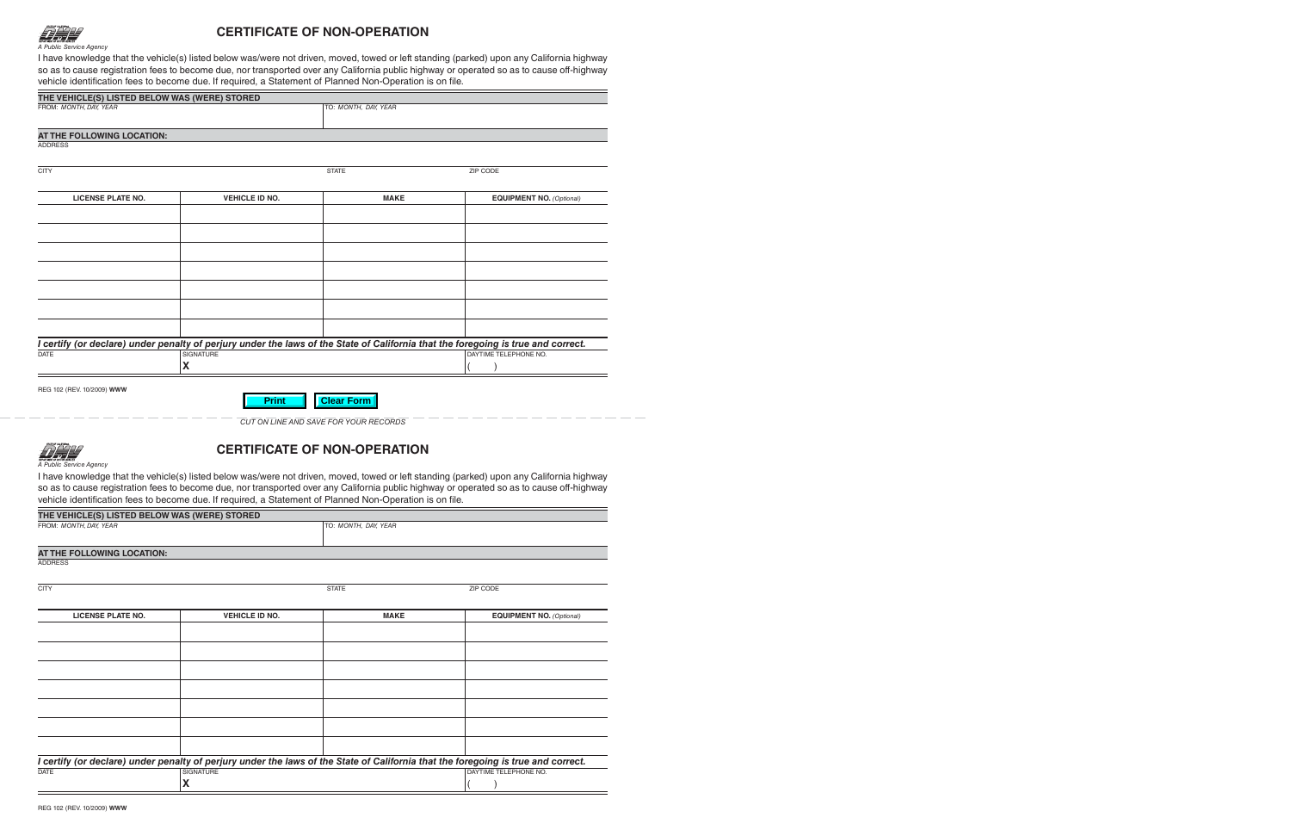

## **CERTIFICATE OF NON-OPERATION**

I have knowledge that the vehicle(s) listed below was/were not driven, moved, towed or left standing (parked) upon any California highway so as to cause registration fees to become due, nor transported over any California public highway or operated so as to cause off-highway vehicle identification fees to become due. If required, a Statement of Planned Non-Operation is on file.

| THE VEHICLE(S) LISTED BELOW WAS (WERE) STORED |                       |                      |                                                                                                                                   |  |
|-----------------------------------------------|-----------------------|----------------------|-----------------------------------------------------------------------------------------------------------------------------------|--|
| FROM: MONTH, DAY, YEAR                        |                       | TO: MONTH, DAY, YEAR |                                                                                                                                   |  |
|                                               |                       |                      |                                                                                                                                   |  |
| AT THE FOLLOWING LOCATION:                    |                       |                      |                                                                                                                                   |  |
| <b>ADDRESS</b>                                |                       |                      |                                                                                                                                   |  |
| <b>CITY</b>                                   |                       | <b>STATE</b>         | ZIP CODE                                                                                                                          |  |
|                                               |                       |                      |                                                                                                                                   |  |
| <b>LICENSE PLATE NO.</b>                      | <b>VEHICLE ID NO.</b> | <b>MAKE</b>          | <b>EQUIPMENT NO.</b> (Optional)                                                                                                   |  |
|                                               |                       |                      |                                                                                                                                   |  |
|                                               |                       |                      |                                                                                                                                   |  |
|                                               |                       |                      |                                                                                                                                   |  |
|                                               |                       |                      |                                                                                                                                   |  |
|                                               |                       |                      |                                                                                                                                   |  |
|                                               |                       |                      |                                                                                                                                   |  |
|                                               |                       |                      |                                                                                                                                   |  |
|                                               |                       |                      |                                                                                                                                   |  |
|                                               |                       |                      | I certify (or declare) under penalty of perjury under the laws of the State of California that the foregoing is true and correct. |  |
| <b>DATE</b>                                   | <b>SIGNATURE</b>      |                      | DAYTIME TELEPHONE NO.                                                                                                             |  |
|                                               | X                     |                      |                                                                                                                                   |  |
|                                               |                       |                      |                                                                                                                                   |  |
| REG 102 (REV. 10/2009) WWW                    |                       |                      |                                                                                                                                   |  |
|                                               | <b>Print</b>          | <b>Clear Form</b>    |                                                                                                                                   |  |
|                                               |                       |                      |                                                                                                                                   |  |

*CUT ON LINE AND SAVE FOR YOUR RECORDS*



## **CERTIFICATE OF NON-OPERATION**

*A Public Service Agency*

I have knowledge that the vehicle(s) listed below was/were not driven, moved, towed or left standing (parked) upon any California highway so as to cause registration fees to become due, nor transported over any California public highway or operated so as to cause off-highway vehicle identification fees to become due. If required, a Statement of Planned Non-Operation is on file.

| THE VEHICLE(S) LISTED BELOW WAS (WERE) STORED |                      |
|-----------------------------------------------|----------------------|
| FROM: MONTH, DAY, YEAR                        | TO: MONTH, DAY, YEAR |
|                                               |                      |
| AT THE FOLLOWING LOCATION:                    |                      |
| ADADFOO                                       |                      |

ADDRESS

CITY AND INTERNATIONAL CITY CODE CONTROL CONTROL CITY AND STATE CODE CONTROL CONTROL CONTROL CONTROL CONTROL CONTROL CONTROL CONTROL CONTROL CONTROL CONTROL CONTROL CONTROL CONTROL CONTROL CONTROL CONTROL CONTROL CONTROL C

| <b>LICENSE PLATE NO.</b>                                                                                                          | <b>VEHICLE ID NO.</b> | <b>MAKE</b> | <b>EQUIPMENT NO. (Optional)</b> |
|-----------------------------------------------------------------------------------------------------------------------------------|-----------------------|-------------|---------------------------------|
|                                                                                                                                   |                       |             |                                 |
|                                                                                                                                   |                       |             |                                 |
|                                                                                                                                   |                       |             |                                 |
|                                                                                                                                   |                       |             |                                 |
|                                                                                                                                   |                       |             |                                 |
|                                                                                                                                   |                       |             |                                 |
|                                                                                                                                   |                       |             |                                 |
|                                                                                                                                   |                       |             |                                 |
| I certify (or declare) under penalty of perjury under the laws of the State of California that the foregoing is true and correct. |                       |             |                                 |
| DATE                                                                                                                              | SIGNATURE             |             | DAYTIME TELEPHONE NO.           |
|                                                                                                                                   | $\lambda$             |             |                                 |